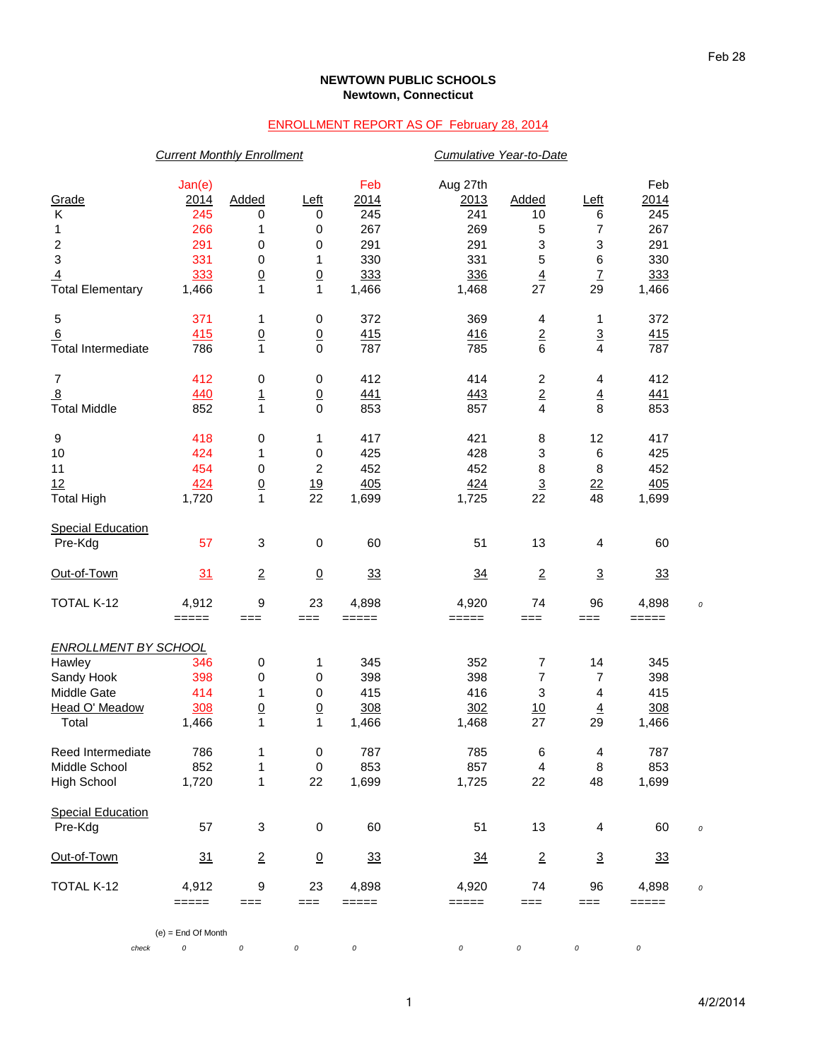## **NEWTOWN PUBLIC SCHOOLS Newtown, Connecticut**

## ENROLLMENT REPORT AS OF February 28, 2014

|                             | <b>Current Monthly Enrollment</b> |                 |                 |            | Cumulative Year-to-Date |                 |                          |                 |  |
|-----------------------------|-----------------------------------|-----------------|-----------------|------------|-------------------------|-----------------|--------------------------|-----------------|--|
|                             | Jan(e)                            |                 |                 | Feb        | Aug 27th                |                 |                          | Feb             |  |
| Grade                       | 2014                              | Added           | Left            | 2014       | 2013                    | Added           | Left                     | 2014            |  |
| Κ                           | 245                               | 0               | 0               | 245        | 241                     | 10              | 6                        | 245             |  |
| 1                           | 266                               | 1               | 0               | 267        | 269                     | 5               | 7                        | 267             |  |
| $\overline{\mathbf{c}}$     | 291                               | 0               | 0               | 291        | 291                     | 3               | 3                        | 291             |  |
| $\mathbf 3$                 | 331                               | 0               | 1               | 330        | 331                     | 5               | 6                        | 330             |  |
| $\overline{4}$              | 333                               | $\underline{0}$ | $\underline{0}$ | 333        | 336                     | $\overline{4}$  | $\overline{1}$           | 333             |  |
| <b>Total Elementary</b>     | 1,466                             | $\mathbf{1}$    | $\mathbf{1}$    | 1,466      | 1,468                   | 27              | 29                       | 1,466           |  |
| $\mathbf 5$                 | 371                               | 1               | $\pmb{0}$       | 372        | 369                     | 4               | 1                        | 372             |  |
| 6                           | 415                               | $\underline{0}$ | $\underline{0}$ | 415        | 416                     | $\overline{2}$  | $\overline{3}$           | 415             |  |
| <b>Total Intermediate</b>   | 786                               | $\mathbf{1}$    | $\mathbf 0$     | 787        | 785                     | 6               | 4                        | 787             |  |
| $\boldsymbol{7}$            | 412                               | 0               | 0               | 412        | 414                     | $\overline{c}$  | 4                        | 412             |  |
| $\overline{8}$              | 440                               | $\overline{1}$  | $\overline{0}$  | <u>441</u> | 443                     | $\frac{2}{4}$   | $\overline{4}$           | 441             |  |
| <b>Total Middle</b>         | 852                               | $\mathbf{1}$    | $\mathbf 0$     | 853        | 857                     |                 | 8                        | 853             |  |
| $\boldsymbol{9}$            | 418                               | 0               | 1               | 417        | 421                     | 8               | 12                       | 417             |  |
| $10$                        | 424                               | 1               | $\pmb{0}$       | 425        | 428                     | 3               | $\,6$                    | 425             |  |
| 11                          | 454                               | 0               | 2               | 452        | 452                     | 8               | 8                        | 452             |  |
| 12                          | 424                               | $\overline{0}$  | 19              | 405        | 424                     |                 | 22                       | 405             |  |
| <b>Total High</b>           | 1,720                             | $\mathbf{1}$    | 22              | 1,699      | 1,725                   | $\frac{3}{22}$  | 48                       | 1,699           |  |
| <b>Special Education</b>    |                                   |                 |                 |            |                         |                 |                          |                 |  |
| Pre-Kdg                     | 57                                | 3               | $\pmb{0}$       | 60         | 51                      | 13              | 4                        | 60              |  |
| Out-of-Town                 | 31                                | $\overline{2}$  | $\overline{0}$  | 33         | 34                      | $\overline{2}$  | $\overline{3}$           | 33              |  |
| <b>TOTAL K-12</b>           | 4,912                             | 9               | 23              | 4,898      | 4,920                   | 74              | 96                       | 4,898           |  |
|                             | $=====$                           | $==$            | $==$            | =====      | =====                   | ===             | ===                      | =====           |  |
| <b>ENROLLMENT BY SCHOOL</b> |                                   |                 |                 |            |                         |                 |                          |                 |  |
| Hawley                      | 346                               | 0               | 1               | 345        | 352                     | 7               | 14                       | 345             |  |
| Sandy Hook                  | 398                               | 0               | 0               | 398        | 398                     | 7               | 7                        | 398             |  |
| Middle Gate                 | 414                               | 1               | 0               | 415        | 416                     | 3               | 4                        | 415             |  |
| Head O' Meadow              | 308                               | $\overline{0}$  | $\overline{0}$  | 308        | 302                     | 10              | $\overline{4}$           | 308             |  |
| Total                       | 1,466                             | 1               | $\mathbf{1}$    | 1,466      | 1,468                   | 27              | 29                       | 1,466           |  |
| Reed Intermediate           | 786                               | 1               | $\pmb{0}$       | 787        | 785                     | 6               | $\overline{\mathcal{A}}$ | 787             |  |
| Middle School               | 852                               | 1               | $\pmb{0}$       | 853        | 857                     | 4               | 8                        | 853             |  |
| <b>High School</b>          | 1,720                             | 1               | 22              | 1,699      | 1,725                   | 22              | 48                       | 1,699           |  |
| <b>Special Education</b>    |                                   |                 |                 |            |                         |                 |                          |                 |  |
| Pre-Kdg                     | 57                                | 3               | $\pmb{0}$       | 60         | 51                      | 13              | 4                        | 60              |  |
| Out-of-Town                 | 31                                | $\overline{2}$  | $\overline{0}$  | <u>33</u>  | $\frac{34}{5}$          | $\underline{2}$ | $\overline{3}$           | $\overline{33}$ |  |
| TOTAL K-12                  | 4,912                             | 9               | 23              | 4,898      | 4,920                   | 74              | 96                       | 4,898           |  |
|                             | $=====$                           | ===             | $==$            | $=====$    | =====                   | $==$            | ===                      | $=$ $=$ $=$ $=$ |  |
|                             | $(e)$ = End Of Month              |                 |                 |            |                         |                 |                          |                 |  |
| check                       | 0                                 | $\cal O$        | 0               | 0          | $\cal O$                | 0               | 0                        | 0               |  |